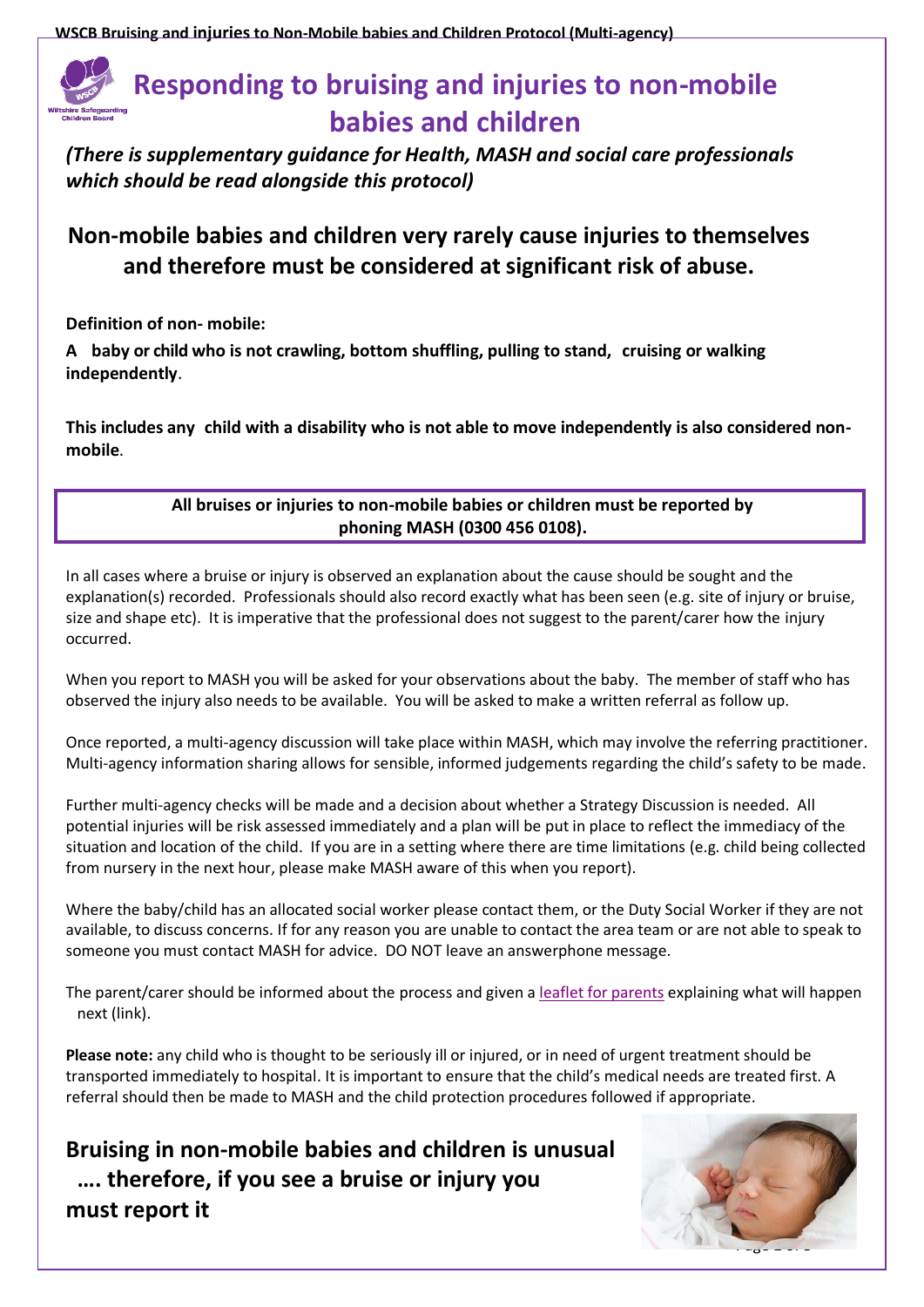**WSCB Bruising and injuries to Non-Mobile babies and Children Protocol (Multi-agency)**

## **Responding to bruising and injuries to non-mobile babies and children**

*(There is supplementary guidance for Health, MASH and social care professionals which should be read alongside this protocol)*

## **Non-mobile babies and children very rarely cause injuries to themselves and therefore must be considered at significant risk of abuse.**

**Definition of non- mobile:**

**A baby or child who is not crawling, bottom shuffling, pulling to stand, cruising or walking independently**.

**This includes any child with a disability who is not able to move independently is also considered nonmobile**.

## **All bruises or injuries to non-mobile babies or children must be reported by phoning MASH (0300 456 0108).**

In all cases where a bruise or injury is observed an explanation about the cause should be sought and the explanation(s) recorded. Professionals should also record exactly what has been seen (e.g. site of injury or bruise, size and shape etc). It is imperative that the professional does not suggest to the parent/carer how the injury occurred.

When you report to MASH you will be asked for your observations about the baby. The member of staff who has observed the injury also needs to be available. You will be asked to make a written referral as follow up.

Once reported, a multi-agency discussion will take place within MASH, which may involve the referring practitioner. Multi-agency information sharing allows for sensible, informed judgements regarding the child's safety to be made.

Further multi-agency checks will be made and a decision about whether a Strategy Discussion is needed. All potential injuries will be risk assessed immediately and a plan will be put in place to reflect the immediacy of the situation and location of the child. If you are in a setting where there are time limitations (e.g. child being collected from nursery in the next hour, please make MASH aware of this when you report).

Where the baby/child has an allocated social worker please contact them, or the Duty Social Worker if they are not available, to discuss concerns. If for any reason you are unable to contact the area team or are not able to speak to someone you must contact MASH for advice. DO NOT leave an answerphone message.

The parent/carer should be informed about the process and given [a leaflet for parents](http://www.wiltshirescb.org.uk/wp-content/uploads/2019/02/Bruising-Protocol-Leaflet-for-parents.pdf) explaining what will happen next (link).

**Please note:** any child who is thought to be seriously ill or injured, or in need of urgent treatment should be transported immediately to hospital. It is important to ensure that the child's medical needs are treated first. A referral should then be made to MASH and the child protection procedures followed if appropriate.

**Bruising in non-mobile babies and children is unusual …. therefore, if you see a bruise or injury you must report it**

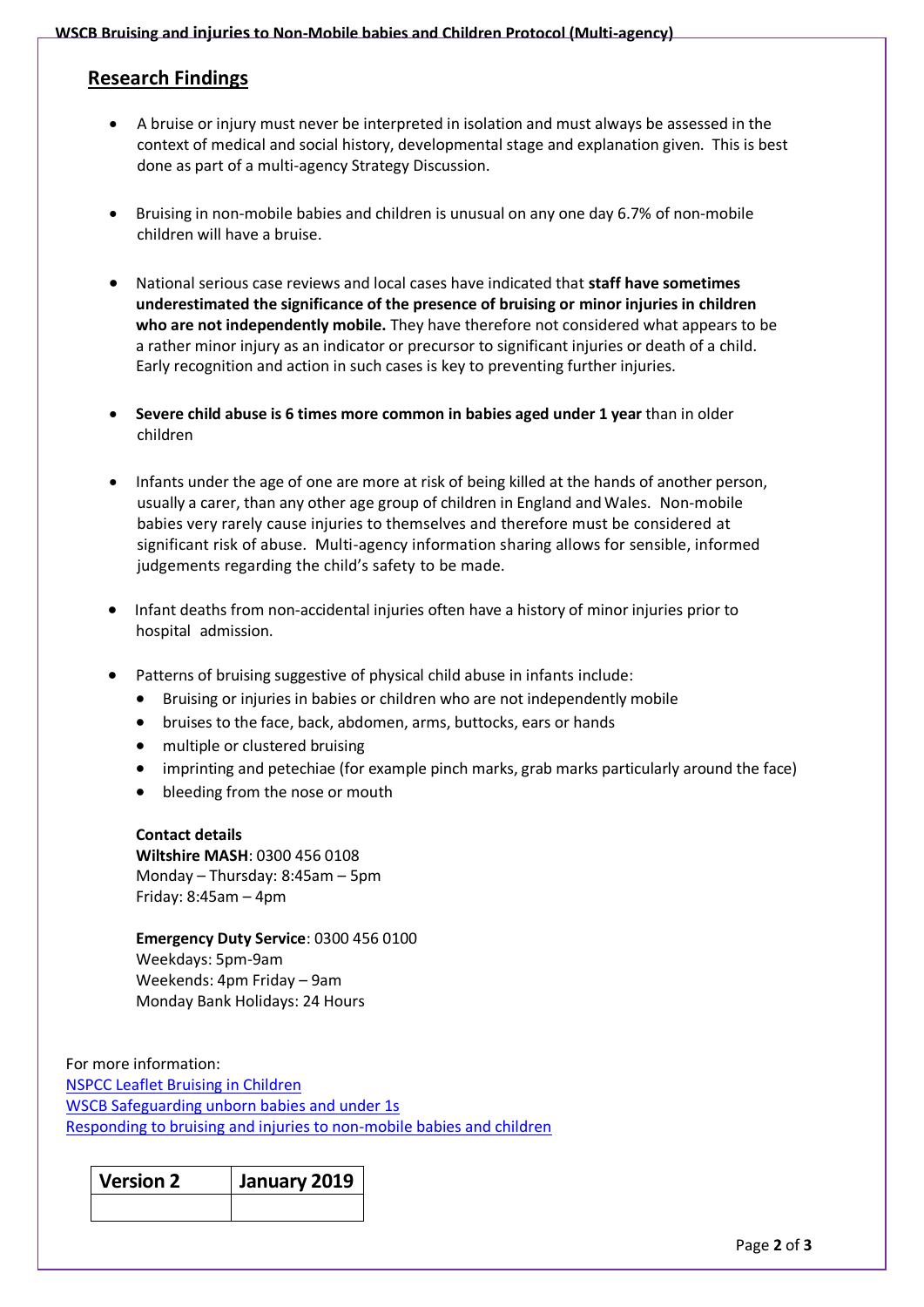## **Research Findings**

- A bruise or injury must never be interpreted in isolation and must always be assessed in the context of medical and social history, developmental stage and explanation given. This is best done as part of a multi-agency Strategy Discussion.
- Bruising in non-mobile babies and children is unusual on any one day 6.7% of non-mobile children will have a bruise.
- National serious case reviews and local cases have indicated that **staff have sometimes underestimated the significance of the presence of bruising or minor injuries in children who are not independently mobile.** They have therefore not considered what appears to be a rather minor injury as an indicator or precursor to significant injuries or death of a child. Early recognition and action in such cases is key to preventing further injuries.
- **Severe child abuse is 6 times more common in babies aged under 1 year** than in older children
- Infants under the age of one are more at risk of being killed at the hands of another person, usually a carer, than any other age group of children in England and Wales. Non-mobile babies very rarely cause injuries to themselves and therefore must be considered at significant risk of abuse. Multi-agency information sharing allows for sensible, informed judgements regarding the child's safety to be made.
- Infant deaths from non-accidental injuries often have a history of minor injuries prior to hospital admission.
- Patterns of bruising suggestive of physical child abuse in infants include:
	- Bruising or injuries in babies or children who are not independently mobile
	- bruises to the face, back, abdomen, arms, buttocks, ears or hands
	- multiple or clustered bruising
	- imprinting and petechiae (for example pinch marks, grab marks particularly around the face)
	- bleeding from the nose or mouth

**Contact details Wiltshire MASH**: 0300 456 0108 Monday – Thursday: 8:45am – 5pm Friday: 8:45am – 4pm

**Emergency Duty Service**: 0300 456 0100 Weekdays: 5pm-9am Weekends: 4pm Friday – 9am Monday Bank Holidays: 24 Hours

For more information: [NSPCC Leaflet Bruising in Children](https://learning.nspcc.org.uk/media/1046/core-info-bruises-children.pdf) [WSCB Safeguarding unborn babies and under 1s](http://www.wiltshirescb.org.uk/wp-content/uploads/2017/11/Safeguarding-Unborns-and-Under-1s_.pdf) [Responding to bruising and injuries to non-mobile babies and children](http://www.wiltshirescb.org.uk/news/responding-to-bruising-and-injuries-to-non-mobile-babies-and-children-new-multi-agency-guidance/)

| <b>Version 2</b> | January 2019 |
|------------------|--------------|
|                  |              |